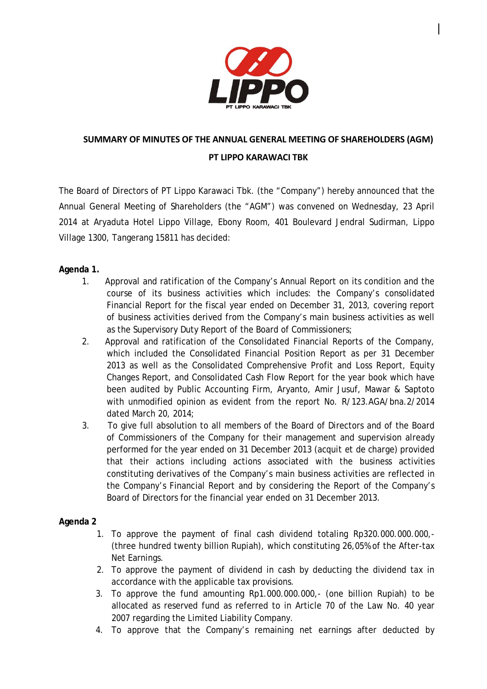

# **SUMMARY OF MINUTES OF THE ANNUAL GENERAL MEETING OF SHAREHOLDERS (AGM) PT LIPPO KARAWACI TBK**

The Board of Directors of PT Lippo Karawaci Tbk. (the "Company") hereby announced that the Annual General Meeting of Shareholders (the "AGM") was convened on Wednesday, 23 April 2014 at Aryaduta Hotel Lippo Village, Ebony Room, 401 Boulevard Jendral Sudirman, Lippo Village 1300, Tangerang 15811 has decided:

# **Agenda 1.**

- 1. Approval and ratification of the Company's Annual Report on its condition and the course of its business activities which includes: the Company's consolidated Financial Report for the fiscal year ended on December 31, 2013, covering report of business activities derived from the Company's main business activities as well as the Supervisory Duty Report of the Board of Commissioners;
- 2. Approval and ratification of the Consolidated Financial Reports of the Company, which included the Consolidated Financial Position Report as per 31 December 2013 as well as the Consolidated Comprehensive Profit and Loss Report, Equity Changes Report, and Consolidated Cash Flow Report for the year book which have been audited by Public Accounting Firm, Aryanto, Amir Jusuf, Mawar & Saptoto with unmodified opinion as evident from the report No. R/123.AGA/bna.2/2014 dated March 20, 2014;
- 3. To give full absolution to all members of the Board of Directors and of the Board of Commissioners of the Company for their management and supervision already performed for the year ended on 31 December 2013 (*acquit et de charge*) provided that their actions including actions associated with the business activities constituting derivatives of the Company's main business activities are reflected in the Company's Financial Report and by considering the Report of the Company's Board of Directors for the financial year ended on 31 December 2013.

#### **Agenda 2**

- 1. To approve the payment of final cash dividend totaling Rp320.000.000.000,- (three hundred twenty billion Rupiah), which constituting 26,05% of the After-tax Net Earnings.
- 2. To approve the payment of dividend in cash by deducting the dividend tax in accordance with the applicable tax provisions.
- 3. To approve the fund amounting Rp1.000.000.000,- (one billion Rupiah) to be allocated as reserved fund as referred to in Article 70 of the Law No. 40 year 2007 regarding the Limited Liability Company.
- 4. To approve that the Company's remaining net earnings after deducted by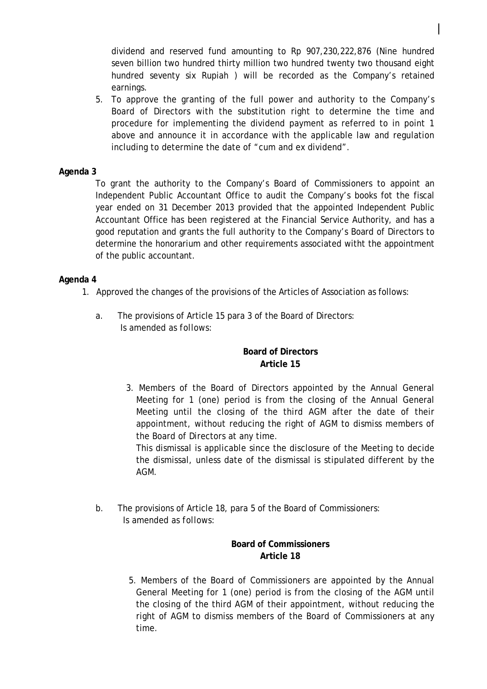dividend and reserved fund amounting to Rp 907,230,222,876 (Nine hundred seven billion two hundred thirty million two hundred twenty two thousand eight hundred seventy six Rupiah ) will be recorded as the Company's retained earnings.

5. To approve the granting of the full power and authority to the Company's Board of Directors with the substitution right to determine the time and procedure for implementing the dividend payment as referred to in point 1 above and announce it in accordance with the applicable law and regulation including to determine the date of "cum and ex dividend".

## **Agenda 3**

To grant the authority to the Company's Board of Commissioners to appoint an Independent Public Accountant Office to audit the Company's books fot the fiscal year ended on 31 December 2013 provided that the appointed Independent Public Accountant Office has been registered at the Financial Service Authority, and has a good reputation and grants the full authority to the Company's Board of Directors to determine the honorarium and other requirements associated witht the appointment of the public accountant.

#### **Agenda 4**

- 1. Approved the changes of the provisions of the Articles of Association as follows:
	- a. The provisions of Article 15 para 3 of the Board of Directors:  *Is amended as follows:*

# **Board of Directors Article 15**

3. Members of the Board of Directors appointed by the Annual General Meeting for 1 (one) period is from the closing of the Annual General Meeting until the closing of the third AGM after the date of their appointment, without reducing the right of AGM to dismiss members of the Board of Directors at any time.

This dismissal is applicable since the disclosure of the Meeting to decide the dismissal, unless date of the dismissal is stipulated different by the AGM.

b. The provisions of Article 18, para 5 of the Board of Commissioners:  *Is amended as follows:*

# **Board of Commissioners Article 18**

5. Members of the Board of Commissioners are appointed by the Annual General Meeting for 1 (one) period is from the closing of the AGM until the closing of the third AGM of their appointment, without reducing the right of AGM to dismiss members of the Board of Commissioners at any time.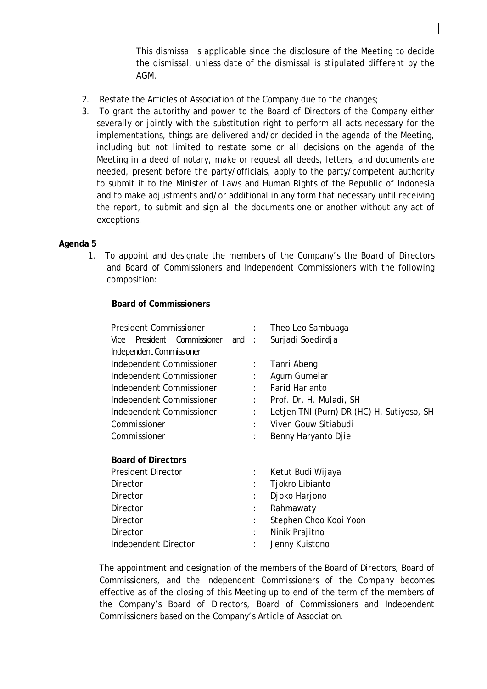This dismissal is applicable since the disclosure of the Meeting to decide the dismissal, unless date of the dismissal is stipulated different by the AGM.

- 2. Restate the Articles of Association of the Company due to the changes;
- 3. To grant the autorithy and power to the Board of Directors of the Company either severally or jointly with the substitution right to perform all acts necessary for the implementations, things are delivered and/or decided in the agenda of the Meeting, including but not limited to restate some or all decisions on the agenda of the Meeting in a deed of notary, make or request all deeds, letters, and documents are needed, present before the party/officials, apply to the party/competent authority to submit it to the Minister of Laws and Human Rights of the Republic of Indonesia and to make adjustments and/or additional in any form that necessary until receiving the report, to submit and sign all the documents one or another without any act of exceptions.

## **Agenda 5**

1. To appoint and designate the members of the Company's the Board of Directors and Board of Commissioners and Independent Commissioners with the following composition:

## **Board of Commissioners**

| <b>President Commissioner</b><br>Vice President Commissioner and : | $\mathcal{L}$        | Theo Leo Sambuaga<br>Surjadi Soedirdja    |
|--------------------------------------------------------------------|----------------------|-------------------------------------------|
| Independent Commissioner                                           |                      |                                           |
| Independent Commissioner                                           | $\mathbb{R}^n$       | Tanri Abeng                               |
| Independent Commissioner                                           | ÷                    | Agum Gumelar                              |
| Independent Commissioner                                           |                      | <b>Farid Harianto</b>                     |
| Independent Commissioner                                           | ÷                    | Prof. Dr. H. Muladi, SH                   |
| Independent Commissioner                                           |                      | Letjen TNI (Purn) DR (HC) H. Sutiyoso, SH |
| Commissioner                                                       |                      | Viven Gouw Sitiabudi                      |
| Commissioner                                                       | ٠                    | Benny Haryanto Djie                       |
| <b>Board of Directors</b>                                          |                      |                                           |
| <b>President Director</b>                                          | ÷                    | Ketut Budi Wijaya                         |
| Director                                                           | $\ddot{\phantom{a}}$ | Tjokro Libianto                           |
| Director                                                           | ÷                    | Djoko Harjono                             |
| Director                                                           |                      | Rahmawaty                                 |
| Director                                                           | $\ddot{\phantom{a}}$ | Stephen Choo Kooi Yoon                    |
| Director                                                           |                      | Ninik Prajitno                            |
| Independent Director                                               | ÷                    | Jenny Kuistono                            |

The appointment and designation of the members of the Board of Directors, Board of Commissioners, and the Independent Commissioners of the Company becomes effective as of the closing of this Meeting up to end of the term of the members of the Company's Board of Directors, Board of Commissioners and Independent Commissioners based on the Company's Article of Association.